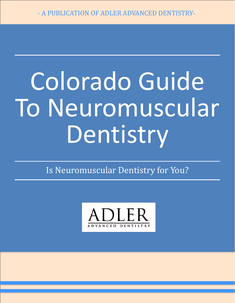# Colorado Guide To Neuromuscular Dentistry

Is Neuromuscular Dentistry for You?

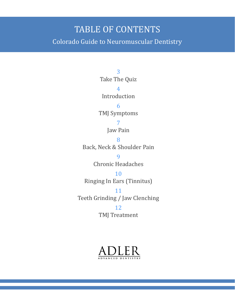#### TABLE OF CONTENTS

Colorado Guide to Neuromuscular Dentistry

3 Take The Quiz 4 Introduction 6 TMJ Symptoms 7 Jaw Pain 8 Back, Neck & Shoulder Pain 9 Chronic Headaches 10 Ringing In Ears (Tinnitus) 11 Teeth Grinding / Jaw Clenching 12 TMJ Treatment

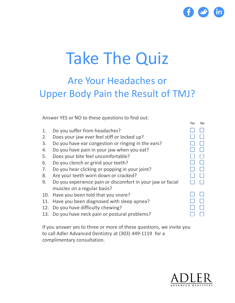

Yes No

### Take The Quiz

#### Are Your Headaches or Upper Body Pain the Result of TMJ?

Answer YES or NO to these questions to find out:

| 1.  | Do you suffer from headaches?                              |  |
|-----|------------------------------------------------------------|--|
| 2.  | Does your jaw ever feel stiff or locked up?                |  |
| 3.  | Do you have ear congestion or ringing in the ears?         |  |
| 4.  | Do you have pain in your jaw when you eat?                 |  |
| 5.  | Does your bite feel uncomfortable?                         |  |
| 6.  | Do you clench or grind your teeth?                         |  |
| 7.  | Do you hear clicking or popping in your joint?             |  |
| 8.  | Are your teeth worn down or cracked?                       |  |
| 9.  | Do you experience pain or discomfort in your jaw or facial |  |
|     | muscles on a regular basis?                                |  |
| 10. | Have you been told that you snore?                         |  |
| 11. | Have you been diagnosed with sleep apnea?                  |  |
| 12. | Do you have difficulty chewing?                            |  |
| 13. | Do you have neck pain or postural problems?                |  |
|     |                                                            |  |

If you answer yes to three or more of these questions, we invite you to call Adler Advanced Dentistry at (303) 449-1119 for a complimentary consultation.

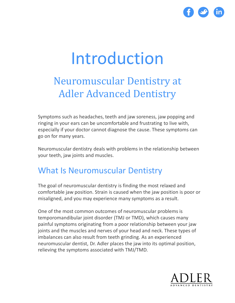

### Introduction

#### Neuromuscular Dentistry at Adler Advanced Dentistry

Symptoms such as headaches, teeth and jaw soreness, jaw popping and ringing in your ears can be uncomfortable and frustrating to live with, especially if your doctor cannot diagnose the cause. These symptoms can go on for many years.

Neuromuscular dentistry deals with problems in the relationship between your teeth, jaw joints and muscles.

#### What Is Neuromuscular Dentistry

The goal of neuromuscular dentistry is finding the most relaxed and comfortable jaw position. Strain is caused when the jaw position is poor or misaligned, and you may experience many symptoms as a result.

One of the most common outcomes of neuromuscular problems is temporomandibular joint disorder (TMJ or TMD), which causes many painful symptoms originating from a poor relationship between your jaw joints and the muscles and nerves of your head and neck. These types of imbalances can also result from teeth grinding. As an experienced neuromuscular dentist, Dr. Adler places the jaw into its optimal position, relieving the symptoms associated with TMJ/TMD.

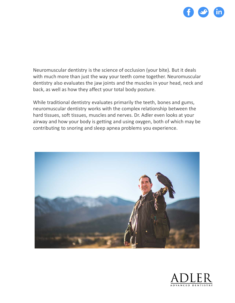

Neuromuscular dentistry is the science of occlusion (your bite). But it deals with much more than just the way your teeth come together. Neuromuscular dentistry also evaluates the jaw joints and the muscles in your head, neck and back, as well as how they affect your total body posture.

While traditional dentistry evaluates primarily the teeth, bones and gums, neuromuscular dentistry works with the complex relationship between the hard tissues, soft tissues, muscles and nerves. Dr. Adler even looks at your airway and how your body is getting and using oxygen, both of which may be contributing to snoring and sleep apnea problems you experience.



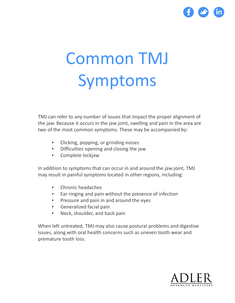

## Common TMJ Symptoms

TMJ can refer to any number of issues that impact the proper alignment of the jaw. Because it occurs in the jaw joint, swelling and pain in the area are two of the most common symptoms. These may be accompanied by:

- Clicking, popping, or grinding noises
- Difficulties opening and closing the jaw
- Complete lockjaw

In addition to symptoms that can occur in and around the jaw joint, TMJ may result in painful symptoms located in other regions, including:

- Chronic headaches
- Ear ringing and pain without the presence of infection
- Pressure and pain in and around the eyes
- Generalized facial pain
- Neck, shoulder, and back pain

When left untreated, TMJ may also cause postural problems and digestive issues, along with oral health concerns such as uneven tooth wear and premature tooth loss.

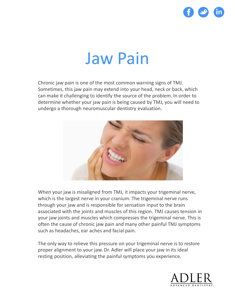

### Jaw Pain

Chronic jaw pain is one of the most common warning signs of TMJ. Sometimes, this jaw pain may extend into your head, neck or back, which can make it challenging to identify the source of the problem. In order to determine whether your jaw pain is being caused by TMJ, you will need to undergo a thorough neuromuscular dentistry evaluation.



When your jaw is misaligned from TMJ, it impacts your trigeminal nerve, which is the largest nerve in your cranium. The trigeminal nerve runs through your jaw and is responsible for sensation input to the brain associated with the joints and muscles of this region. TMJ causes tension in your jaw joints and muscles which compresses the trigeminal nerve. This is often the cause of chronic jaw pain and many other painful TMJ symptoms such as headaches, ear aches and facial pain.

The only way to relieve this pressure on your trigeminal nerve is to restore proper alignment to your jaw. Dr. Adler will place your jaw in its ideal resting position, alleviating the painful symptoms you experience.

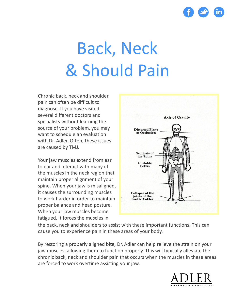

## Back, Neck & Should Pain

Chronic back, neck and shoulder pain can often be difficult to diagnose. If you have visited several different doctors and specialists without learning the source of your problem, you may want to schedule an evaluation with Dr. Adler. Often, these issues are caused by TMJ.

Your jaw muscles extend from ear to ear and interact with many of the muscles in the neck region that maintain proper alignment of your spine. When your jaw is misaligned, it causes the surrounding muscles to work harder in order to maintain proper balance and head posture. When your jaw muscles become fatigued, it forces the muscles in



the back, neck and shoulders to assist with these important functions. This can cause you to experience pain in these areas of your body.

By restoring a properly aligned bite, Dr. Adler can help relieve the strain on your jaw muscles, allowing them to function properly. This will typically alleviate the chronic back, neck and shoulder pain that occurs when the muscles in these areas are forced to work overtime assisting your jaw.

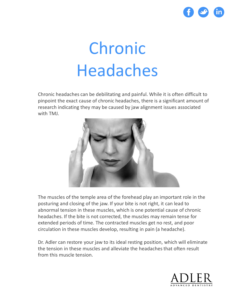

## Chronic Headaches

Chronic headaches can be debilitating and painful. While it is often difficult to pinpoint the exact cause of chronic headaches, there is a significant amount of research indicating they may be caused by jaw alignment issues associated with TMJ.



The muscles of the temple area of the forehead play an important role in the posturing and closing of the jaw. If your bite is not right, it can lead to abnormal tension in these muscles, which is one potential cause of chronic headaches. If the bite is not corrected, the muscles may remain tense for extended periods of time. The contracted muscles get no rest, and poor circulation in these muscles develop, resulting in pain (a headache).

Dr. Adler can restore your jaw to its ideal resting position, which will eliminate the tension in these muscles and alleviate the headaches that often result from this muscle tension.

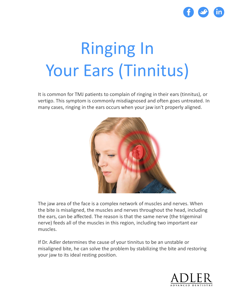

## Ringing In Your Ears (Tinnitus)

It is common for TMJ patients to complain of ringing in their ears (tinnitus), or vertigo. This symptom is commonly misdiagnosed and often goes untreated. In many cases, ringing in the ears occurs when your jaw isn't properly aligned.



The jaw area of the face is a complex network of muscles and nerves. When the bite is misaligned, the muscles and nerves throughout the head, including the ears, can be affected. The reason is that the same nerve (the trigeminal nerve) feeds all of the muscles in this region, including two important ear muscles.

If Dr. Adler determines the cause of your tinnitus to be an unstable or misaligned bite, he can solve the problem by stabilizing the bite and restoring your jaw to its ideal resting position.

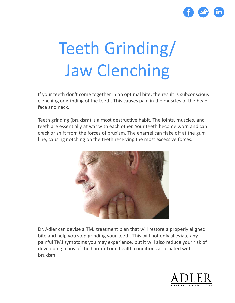

## Teeth Grinding/ Jaw Clenching

If your teeth don't come together in an optimal bite, the result is subconscious clenching or grinding of the teeth. This causes pain in the muscles of the head, face and neck.

Teeth grinding (bruxism) is a most destructive habit. The joints, muscles, and teeth are essentially at war with each other. Your teeth become worn and can crack or shift from the forces of bruxism. The enamel can flake off at the gum line, causing notching on the teeth receiving the most excessive forces.



Dr. Adler can devise a TMJ treatment plan that will restore a properly aligned bite and help you stop grinding your teeth. This will not only alleviate any painful TMJ symptoms you may experience, but it will also reduce your risk of developing many of the harmful oral health conditions associated with bruxism.

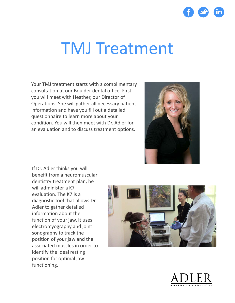

### TMJ Treatment

Your TMJ treatment starts with a complimentary consultation at our Boulder dental office. First you will meet with Heather, our Director of Operations. She will gather all necessary patient information and have you fill out a detailed questionnaire to learn more about your condition. You will then meet with Dr. Adler for an evaluation and to discuss treatment options.



If Dr. Adler thinks you will benefit from a neuromuscular dentistry treatment plan, he will administer a K7 evaluation. The K7 is a diagnostic tool that allows Dr. Adler to gather detailed information about the function of your jaw. It uses electromyography and joint sonography to track the position of your jaw and the associated muscles in order to identify the ideal resting position for optimal jaw functioning.



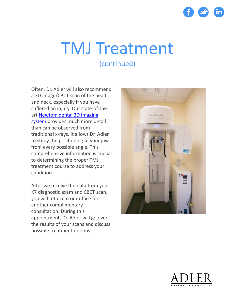

Often, Dr. Adler will also recommend a 3D image/CBCT scan of the head and neck, especially if you have suffered an injury. Our state-of-theart Newtom dental 3D imaging system [provides much more de](http://www.adlerdentistry.com/blog/adler-dentistry-acquires-new-dental-3d-imaging-system)tail than can be observed from traditional x-rays. It allows Dr. Adler to study the positioning of your jaw from every possible angle. This comprehensive information is crucial to determining the proper TMJ treatment course to address your condition.

After we receive the data from your K7 diagnostic exam and CBCT scan, you will return to our office for another complimentary consultation. During this appointment, Dr. Adler will go over the results of your scans and discuss possible treatment options.



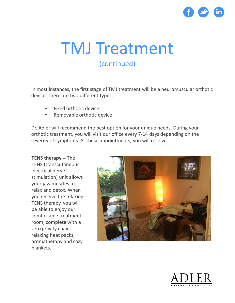

In most instances, the first stage of TMJ treatment will be a neuromuscular orthotic device. There are two different types:

- Fixed orthotic device
- Removable orthotic device

Dr. Adler will recommend the best option for your unique needs. During your orthotic treatment, you will visit our office every 7-14 days depending on the severity of symptoms. At these appointments, you will receive:

**TENS therapy --** The TENS (transcutaneous electrical nerve stimulation) unit allows your jaw muscles to relax and detox. When you receive the relaxing TENS therapy, you will be able to enjoy our comfortable treatment room, complete with a zero gravity chair, relaxing heat packs, aromatherapy and cozy blankets.



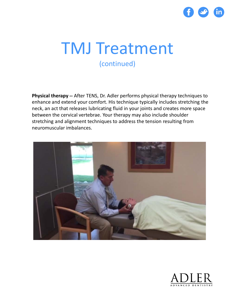

**Physical therapy --** After TENS, Dr. Adler performs physical therapy techniques to enhance and extend your comfort. His technique typically includes stretching the neck, an act that releases lubricating fluid in your joints and creates more space between the cervical vertebrae. Your therapy may also include shoulder stretching and alignment techniques to address the tension resulting from neuromuscular imbalances.



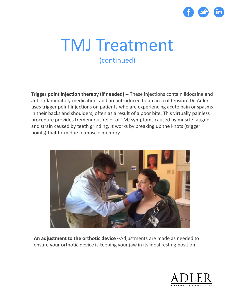

**Trigger point injection therapy (if needed) --** These injections contain lidocaine and anti-inflammatory medication, and are introduced to an area of tension. Dr. Adler uses trigger point injections on patients who are experiencing acute pain or spasms in their backs and shoulders, often as a result of a poor bite. This virtually painless procedure provides tremendous relief of TMJ symptoms caused by muscle fatigue and strain caused by teeth grinding. It works by breaking up the knots (trigger points) that form due to muscle memory.



**An adjustment to the orthotic device --**Adjustments are made as needed to ensure your orthotic device is keeping your jaw in its ideal resting position.

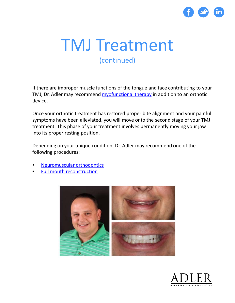

If there are improper muscle functions of the tongue and face contributing to your TMJ, Dr. Adler may recommend [myofunctional](http://www.adlerdentistry.com/myofunctional-therapy.html) therapy in addition to an orthotic device.

Once your orthotic treatment has restored proper bite alignment and your painful symptoms have been alleviated, you will move onto the second stage of your TMJ treatment. This phase of your treatment involves permanently moving your jaw into its proper resting position.

Depending on your unique condition, Dr. Adler may recommend one of the following procedures:

- [Neuromuscular orthodontics](http://www.adlerdentistry.com/orthodontics)
- [Full mouth reconstruction](http://www.adlerdentistry.com/full-mouth-reconstruction-and-restoration)



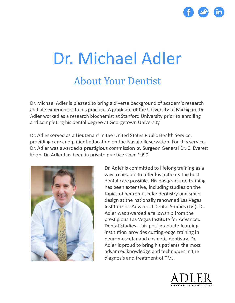

## Dr. Michael Adler About Your Dentist

Dr. Michael Adler is pleased to bring a diverse background of academic research and life experiences to his practice. A graduate of the University of Michigan, Dr. Adler worked as a research biochemist at Stanford University prior to enrolling and completing his dental degree at Georgetown University.

Dr. Adler served as a Lieutenant in the United States Public Health Service, providing care and patient education on the Navajo Reservation. For this service, Dr. Adler was awarded a prestigious commission by Surgeon General Dr. C. Everett Koop. Dr. Adler has been in private practice since 1990.



Dr. Adler is committed to lifelong training as a way to be able to offer his patients the best dental care possible. His postgraduate training has been extensive, including studies on the topics of neuromuscular dentistry and smile design at the nationally renowned Las Vegas Institute for Advanced Dental Studies (LVI). Dr. Adler was awarded a fellowship from the prestigious Las Vegas Institute for Advanced Dental Studies. This post-graduate learning institution provides cutting-edge training in neuromuscular and cosmetic dentistry. Dr. Adler is proud to bring his patients the most advanced knowledge and techniques in the diagnosis and treatment of TMJ.